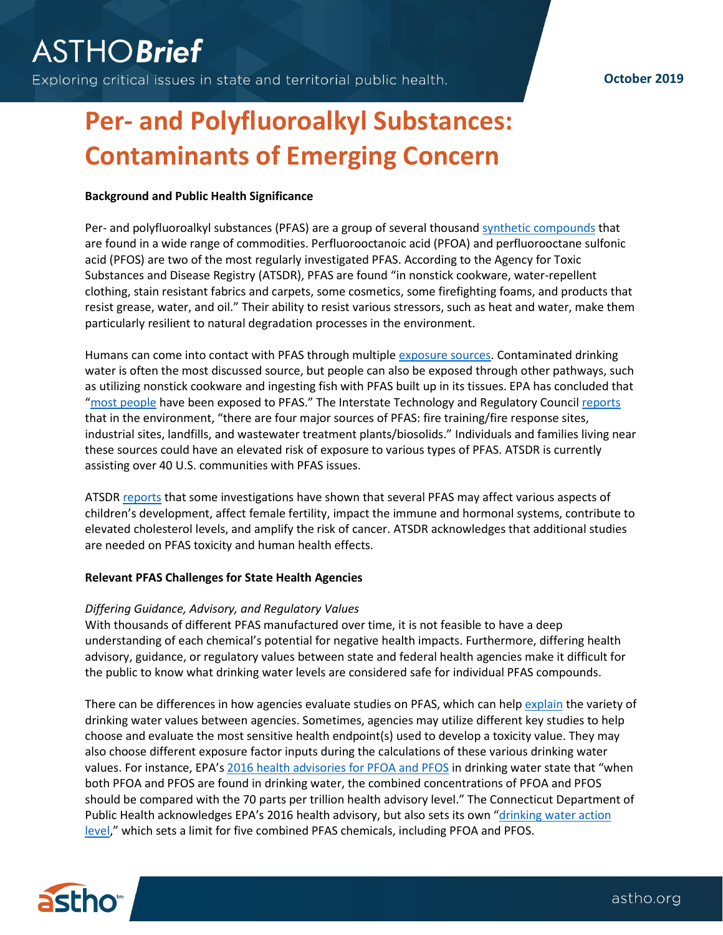Exploring critical issues in state and territorial public health.

## **October 2019**

# **Per- and Polyfluoroalkyl Substances: Contaminants of Emerging Concern**

### **Background and Public Health Significance**

Per- and polyfluoroalkyl substances (PFAS) are a group of several thousan[d synthetic compounds](https://www.atsdr.cdc.gov/pfas/overview.html) that are found in a wide range of commodities. Perfluorooctanoic acid (PFOA) and perfluorooctane sulfonic acid (PFOS) are two of the most regularly investigated PFAS. According to the Agency for Toxic Substances and Disease Registry (ATSDR), PFAS are found "in nonstick cookware, water-repellent clothing, stain resistant fabrics and carpets, some cosmetics, some firefighting foams, and products that resist grease, water, and oil." Their ability to resist various stressors, such as heat and water, make them particularly resilient to natural degradation processes in the environment.

Humans can come into contact with PFAS through multiple [exposure sources.](https://www.atsdr.cdc.gov/pfas/pfas-exposure.html) Contaminated drinking water is often the most discussed source, but people can also be exposed through other pathways, such as utilizing nonstick cookware and ingesting fish with PFAS built up in its tissues. EPA has concluded that "[most people](https://www.epa.gov/pfas/basic-information-pfas#exposed) have been exposed to PFAS." The Interstate Technology and Regulatory Council [reports](https://pfas-1.itrcweb.org/wp-content/uploads/2018/03/pfas_fact_sheet_fate_and_transport__3_16_18.pdf) that in the environment, "there are four major sources of PFAS: fire training/fire response sites, industrial sites, landfills, and wastewater treatment plants/biosolids." Individuals and families living near these sources could have an elevated risk of exposure to various types of PFAS. ATSDR is currently assisting over 40 U.S. communities with PFAS issues.

ATSDR [reports](https://www.atsdr.cdc.gov/pfas/health-effects.html) that some investigations have shown that several PFAS may affect various aspects of children's development, affect female fertility, impact the immune and hormonal systems, contribute to elevated cholesterol levels, and amplify the risk of cancer. ATSDR acknowledges that additional studies are needed on PFAS toxicity and human health effects.

### **Relevant PFAS Challenges for State Health Agencies**

### *Differing Guidance, Advisory, and Regulatory Values*

With thousands of different PFAS manufactured over time, it is not feasible to have a deep understanding of each chemical's potential for negative health impacts. Furthermore, differing health advisory, guidance, or regulatory values between state and federal health agencies make it difficult for the public to know what drinking water levels are considered safe for individual PFAS compounds.

There can be differences in how agencies evaluate studies on PFAS, which can hel[p explain](https://www4.des.state.nh.us/nh-pfas-investigation/wp-content/uploads/r-wd-19-01.pdf) the variety of drinking water values between agencies. Sometimes, agencies may utilize different key studies to help choose and evaluate the most sensitive health endpoint(s) used to develop a toxicity value. They may also choose different exposure factor inputs during the calculations of these various drinking water values. For instance, EPA's [2016 health advisories for PFOA and PFOS](https://www.epa.gov/sites/production/files/2016-06/documents/drinkingwaterhealthadvisories_pfoa_pfos_updated_5.31.16.pdf) in drinking water state that "when both PFOA and PFOS are found in drinking water, the combined concentrations of PFOA and PFOS should be compared with the 70 parts per trillion health advisory level." The Connecticut Department of Public Health acknowledges EPA's 2016 health advisory, but also sets its own "[drinking water action](https://portal.ct.gov/DPH/Drinking-Water/DWS/Per--and-Polyfluoroalkyl-Substances)  [level](https://portal.ct.gov/DPH/Drinking-Water/DWS/Per--and-Polyfluoroalkyl-Substances)," which sets a limit for five combined PFAS chemicals, including PFOA and PFOS.